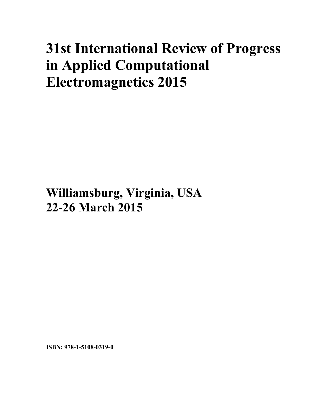# **31st International Review of Progress in Applied Computational Electromagnetics 2015**

**Williamsburg, Virginia, USA 22-26 March 2015**

**ISBN: 978-1-5108-0319-0**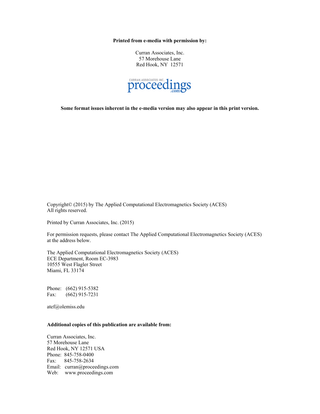**Printed from e-media with permission by:** 

Curran Associates, Inc. 57 Morehouse Lane Red Hook, NY 12571



**Some format issues inherent in the e-media version may also appear in this print version.** 

Copyright© (2015) by The Applied Computational Electromagnetics Society (ACES) All rights reserved.

Printed by Curran Associates, Inc. (2015)

For permission requests, please contact The Applied Computational Electromagnetics Society (ACES) at the address below.

The Applied Computational Electromagnetics Society (ACES) ECE Department, Room EC-3983 10555 West Flagler Street Miami, FL 33174

Phone: (662) 915-5382 Fax: (662) 915-7231

atef@olemiss.edu

# **Additional copies of this publication are available from:**

Curran Associates, Inc. 57 Morehouse Lane Red Hook, NY 12571 USA Phone: 845-758-0400 Fax: 845-758-2634 Email: curran@proceedings.com Web: www.proceedings.com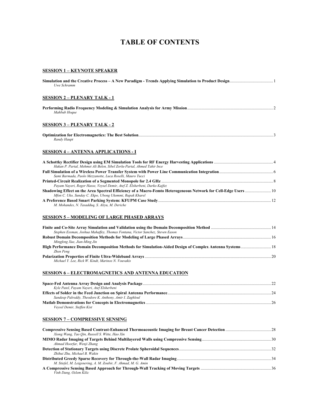# **TABLE OF CONTENTS**

# **SESSION 1 – KEYNOTE SPEAKER**

| Uwe Schramm                                                                                   |           |
|-----------------------------------------------------------------------------------------------|-----------|
| <b>SESSION 2 – PLENARY TALK - 1</b>                                                           |           |
| Mahbub Hoque                                                                                  |           |
| <b>SESSION 3 – PLENARY TALK - 2</b>                                                           |           |
| Randy Haupt                                                                                   |           |
| <b>SESSION 4 – ANTENNA APPLICATIONS - I</b>                                                   |           |
| A Sephettly: Destifier Design using FM Simulation Teals for DF Francy Harvesting Applications | $\Lambda$ |

| Hakan P. Partal, Mehmet Ali Belen, Sibel Zorlu-Partal, Ahmed Tahir Ince   |  |
|---------------------------------------------------------------------------|--|
|                                                                           |  |
| Sami Barmada, Paolo Mezzanotte, Luca Roselli, Mauro Tucci                 |  |
|                                                                           |  |
| Payam Nayeri, Roger Hasse, Veysel Demir, Atef Z. Elsherbeni, Darko Kajfez |  |
|                                                                           |  |
| Mfon C. Uko, Sunday C. Ekpo, Ubong Ukommi, Rupak Kharel                   |  |
|                                                                           |  |
| M. Mohandes, N. Tasadduq, S. Aliyu, M. Deriche                            |  |

# **SESSION 5 – MODELING OF LARGE PHASED ARRAYS**

| Stephen Essman, Joshua Mahaffev, Thomas Fontana, Victor Sanchez, Steven Eason |  |
|-------------------------------------------------------------------------------|--|
|                                                                               |  |
| Mingfeng Xue, Jian-Ming Jin                                                   |  |
|                                                                               |  |
| Zhen Peng                                                                     |  |
|                                                                               |  |
| Michael Y. Lee, Rick W. Kindt, Marinos N. Vouvakis                            |  |

# **SESSION 6 – ELECTROMAGNETICS AND ANTENNA EDUCATION**

| Kyle Patel, Payam Nayeri, Atef Elsherbeni               |  |
|---------------------------------------------------------|--|
|                                                         |  |
| Sandeep Palreddy, Theodore K. Anthony, Amir I. Zaghloul |  |
|                                                         |  |
| Veysel Demir, Steffen Kist                              |  |

# **SESSION 7 – COMPRESSIVE SENSING**

| Xiong Wang, Tao Oin, Russell S. Witte, Hao Xin                 |  |
|----------------------------------------------------------------|--|
|                                                                |  |
| Ahmad Hoorfar, Wenji Zhang                                     |  |
|                                                                |  |
| Zhihui Zhu. Michael B. Wakin                                   |  |
|                                                                |  |
| M. Stiefel, M. Leigsnering, A. M. Zoubir, F. Ahmad, M. G. Amin |  |
|                                                                |  |
| Vinh Dang, Ozlem Kilic                                         |  |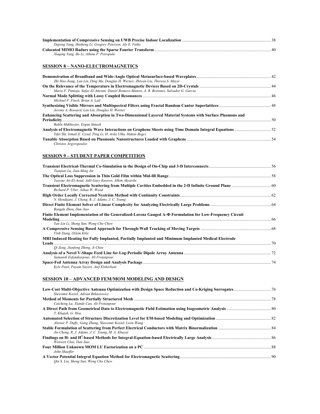| Depeng Yang, Husheng Li, Gregory Peterson, Aly E. Fathy |    |
|---------------------------------------------------------|----|
|                                                         | 40 |
| Xiaging Yang, Bo Li, Athina P. Petropulu                |    |

# **SESSION 8 – NANO-ELECTROMAGNETICS**

| Zhi Hao Jiang, Lan Lin, Ding Ma, Douglas H. Werner, Zhiwen Liu, Theresa S. Mayer                          |  |
|-----------------------------------------------------------------------------------------------------------|--|
|                                                                                                           |  |
| Mario F. Pantoja, Safae El-Amrani, Daniel Romero-Mateos, A. R. Bretones, Salvador G. Garcia               |  |
|                                                                                                           |  |
| Michael F. Finch. Brian A. Lail                                                                           |  |
| Jeremy A. Bossard, Lan Lin, Douglas H. Werner                                                             |  |
| Enhancing Scattering and Absorption in Two-Dimensional Layered Material Systems with Surface Plasmons and |  |
| $\sim$ 50                                                                                                 |  |
| Bablu Mukherjee, Ergun Simsek                                                                             |  |
| Yifei Shi, Ismail E. Uysal, Ping Li, H. Arda Ulku, Hakan Bagci                                            |  |
|                                                                                                           |  |
| Christos Argyropoulos                                                                                     |  |

# **SESSION 9 – STUDENT PAPER COMPETITION**

| Tianjian Lu, Jian-Ming Jin                                                                                                                       |  |
|--------------------------------------------------------------------------------------------------------------------------------------------------|--|
| Yassine Ait-El-Aoud, Adil-Gary Kussow, Alkim Akvurtlu                                                                                            |  |
| Richard P. Uber, Aihua W. Wood                                                                                                                   |  |
| N. Hendijani, J. Cheng, R. J. Adams, J. C. Young                                                                                                 |  |
| Bangda Zhou, Dan Jiao                                                                                                                            |  |
| Finite Element Implementation of the Generalized-Lorenz Gauged A-@ Formulation for Low-Frequency Circuit<br>Yan Lin Li, Sheng Sun, Weng Cho Chew |  |
| Vinh Dang, Ozlem Kilic                                                                                                                           |  |
| MRI Induced Heating for Fully Implanted, Partially Implanted and Minimum Implanted Medical Electrode                                             |  |
| Oi Zeng, Jianfeng Zheng, Ji Chen                                                                                                                 |  |
| Samaneh Esfandiarpour, Ali Frotanpour                                                                                                            |  |
| Kyle Patel, Payam Nayeri, Atef Elsherbeni                                                                                                        |  |

# **SESSION 10 – ADVANCED FEM/MOM MODELING AND DESIGN**

| Slawomir Koziel, Adrian Bekasiewicz                        |  |
|------------------------------------------------------------|--|
|                                                            |  |
| Caicheng Lu, Xiande Cao, Ali Frotanpour                    |  |
|                                                            |  |
| T. Khajah, G. Hou                                          |  |
|                                                            |  |
| Alistair P. Duffy, Gang Zhang, Slawomir Koziel, Lixin Wang |  |
|                                                            |  |
| Jin Cheng, R. J. Adams, J. C. Young, M. A. Khayat          |  |
|                                                            |  |
| Wenwen Chai, Dan Jiao                                      |  |
|                                                            |  |
| John Shaeffer                                              |  |
|                                                            |  |
| Oin S. Liu, Sheng Sun, Weng Cho Chew                       |  |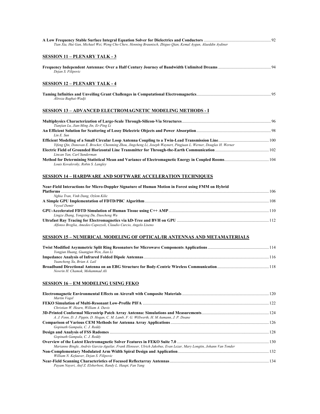| Tian Xia, Hui Gan, Michael Wei, Weng Cho Chew, Henning Braunisch, Zhiguo Qian, Kemal Aygun, Alaeddin Aydiner       |  |
|--------------------------------------------------------------------------------------------------------------------|--|
| <b>SESSION 11 – PLENARY TALK - 3</b>                                                                               |  |
| Dejan S. Filipovic                                                                                                 |  |
| <b>SESSION 12 - PLENARY TALK - 4</b>                                                                               |  |
| Alireza Baghai-Wadji                                                                                               |  |
| <b>SESSION 13 - ADVANCED ELECTROMAGNETIC MODELING METHODS - I</b>                                                  |  |
| Tianjian Lu, Jian-Ming Jin, Er-Ping Li                                                                             |  |
| Lin E. Sun                                                                                                         |  |
| Yifeng Oin, Donovan E. Brocker, Chenming Zhou, Jingcheng Li, Joseph Waynert, Pingjuan L. Werner, Douglas H. Werner |  |
| Lincan Yan, Carl Sunderman                                                                                         |  |

**Method for Determining Statistical Mean and Variance of Electromagnetic Energy in Coupled Rooms**...........................................104 *Louis Kovalevsky, Robin S. Langley* 

# **SESSION 14 – HARDWARE AND SOFTWARE ACCELERATION TECHNIQUES**

| Near-Field Interactions for Micro-Doppler Signature of Human Motion in Forest using FMM on Hybrid |
|---------------------------------------------------------------------------------------------------|
|                                                                                                   |
| Nghia Tran, Vinh Dang, Ozlem Kilic                                                                |
|                                                                                                   |
| Vevsel Demir                                                                                      |
|                                                                                                   |
| Lingze Zhang, Yongxing Du, Daocheng Wu                                                            |
|                                                                                                   |
| Alfonso Breglia, Amedeo Capozzoli, Claudio Curcio, Angelo Liseno                                  |

# **SESSION 15 – NUMERICAL MODELING OF OPTICAL/IR ANTENNAS AND METAMATERIALS**

| Yongjun Huang, Guangjun Wen, Jian Li |  |
|--------------------------------------|--|
|                                      |  |
| Yuancheng Xu, Brian A. Lail          |  |
|                                      |  |
| Nowrin H. Chamok. Mohammad Ali       |  |

# **SESSION 16 – EM MODELING USING FEKO**

| Martin Vogel                                                                                                         |  |
|----------------------------------------------------------------------------------------------------------------------|--|
|                                                                                                                      |  |
| Christian W. Hearn. William A. Davis                                                                                 |  |
|                                                                                                                      |  |
| A. J. Fenn, D. J. Pippin, D. Hogan, C. M. Lamb, F. G. Willwerth, H. M Aumann, J. P. Doane                            |  |
|                                                                                                                      |  |
| Gopinath Gampala, C. J. Reddy                                                                                        |  |
|                                                                                                                      |  |
| Gopinath Gampala, C. J. Reddy                                                                                        |  |
|                                                                                                                      |  |
| Marianne Bingle, Andrés Garcia-Aguilar, Frank Illenseer, Ulrich Jakobus, Evan Lezar, Mary Longtin, Johann Van Tonder |  |
|                                                                                                                      |  |
| William N. Kefauver, Dejan S. Filipovic                                                                              |  |
|                                                                                                                      |  |
| Payam Nayeri, Atef Z. Elsherbeni, Randy L. Haupt, Fan Yang                                                           |  |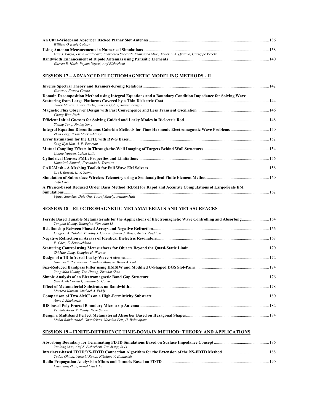| William O'Keefe Coburn                                                                                     |  |
|------------------------------------------------------------------------------------------------------------|--|
|                                                                                                            |  |
| Lars J. Foged, Lucia Scialacqua, Francesco Saccardi, Francesca Mioc, Javier L. A. Quijano, Giuseppe Vecchi |  |
|                                                                                                            |  |
| Garrett R. Hoch, Payam Nayeri, Atef Elsherbeni                                                             |  |

# **SESSION 17 – ADVANCED ELECTROMAGNETIC MODELING METHODS - II**

| Giovanni Franco Crosta                                                                                   |     |
|----------------------------------------------------------------------------------------------------------|-----|
| Domain Decomposition Method using Integral Equations and a Boundary Condition Impedance for Solving Wave |     |
| Julien Maurin, André Barka, Vincent Gobin, Xavier Juvigny                                                |     |
| Chang-Woo Park                                                                                           |     |
| Siming Yang, Jiming Song                                                                                 |     |
| Zhen Peng, Brian Mackie-Mason                                                                            |     |
| Sang Kyu Kim, A. F. Peterson                                                                             | 152 |
| Quang Nguyen, Ozlem Kilic                                                                                |     |
| Kamalesh Sainath, Fernando L. Teixeira                                                                   |     |
| C. M. Rowell, K. Y. Szema                                                                                |     |
| Jiefu Chen                                                                                               |     |
| A Physics-based Reduced Order Basis Method (RBM) for Rapid and Accurate Computations of Large-Scale EM   | 162 |
| Vijaya Shankar, Dale Ota, Touraj Sahely, William Hall                                                    |     |

# **SESSION 18 – ELECTROMAGNETIC METAMATERIALS AND METASURFACES**

| Ferrite Based Tunable Metamaterials for the Applications of Electromagnetic Wave Controlling and Absorbing 164<br>Yongjun Huang, Guangjun Wen, Jian Li |  |
|--------------------------------------------------------------------------------------------------------------------------------------------------------|--|
|                                                                                                                                                        |  |
| Gregory A. Talalai, Timothy J. Garner, Steven J. Weiss, Amir I. Zaghloul                                                                               |  |
| F. Chen. E. Semouchkina                                                                                                                                |  |
| Zhi Hao Jiang, Douglas H. Werner                                                                                                                       |  |
|                                                                                                                                                        |  |
| Navaneeth Premkumar, Franklin Manene, Brian A. Lail                                                                                                    |  |
|                                                                                                                                                        |  |
| Yong Mao Huang, Tao Huang, Zhenhai Shao                                                                                                                |  |
| Seth A. McCormick. William O. Coburn                                                                                                                   |  |
| Morteza Karami, Michael A. Fiddy                                                                                                                       |  |
| Anne I. Mackenzie                                                                                                                                      |  |
| Venkateshwar V. Reddy, Nvsn Sarma                                                                                                                      |  |
| Mehdi Bahdorzadeh Ghandehari, Nooshin Feiz, H. Bolandpour                                                                                              |  |

# **SESSION 19 – FINITE-DIFFERENCE TIME-DOMAIN METHOD: THEORY AND APPLICATIONS**

| Yunlong Mao, Atef Z. Elsherbeni, Tao Jiang, Si Li   |  |
|-----------------------------------------------------|--|
|                                                     |  |
| Tadao Ohtani, Yasushi Kanai, Nikolaos V. Kantartzis |  |
|                                                     |  |
| Chenming Zhou, Ronald Jacksha                       |  |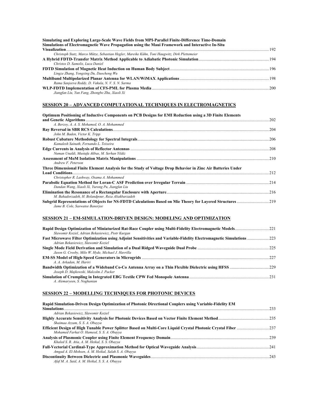| Simulating and Exploring Large-Scale Wave Fields from MPI-Parallel Finite-Difference Time-Domain<br>Simulations of Electromagnetic Wave Propagation using the Maui Framework and Interactive In-Situ |  |
|------------------------------------------------------------------------------------------------------------------------------------------------------------------------------------------------------|--|
|                                                                                                                                                                                                      |  |
| Christoph Statz, Marco Mütze, Sebastian Hegler, Mareike Kühn, Toni Haugwitz, Dirk Plettemeier                                                                                                        |  |
|                                                                                                                                                                                                      |  |
| Christos D. Samolis. Luca Daniel                                                                                                                                                                     |  |
| Lingze Zhang, Yongxing Du, Daocheng Wu                                                                                                                                                               |  |
| Rama Sanjeeva Reddy, D. Vakula, N. V. S. N. Sarma                                                                                                                                                    |  |
| Jiangfan Liu, Yun Fang, Zhongbo Zhu, Xiaoli Xi                                                                                                                                                       |  |

# **SESSION 20 – ADVANCED COMPUTATIONAL TECHNIQUES IN ELECTROMAGNETICS**

| Optimum Positioning of Inductive Components on PCB Designs for EMI Reduction using a 3D Finite Elements      |      |
|--------------------------------------------------------------------------------------------------------------|------|
|                                                                                                              | 202  |
| A. Berzoy, A. A. S. Mohamed, O. A. Mohammed                                                                  |      |
|                                                                                                              | 204  |
| John M. Baden, Victor K. Tripp                                                                               |      |
|                                                                                                              |      |
| Kamalesh Sainath, Fernando L. Teixeira                                                                       |      |
|                                                                                                              |      |
| Numan Unaldi, Mustafa Akbas, M. Serhan Yildiz                                                                |      |
|                                                                                                              |      |
| Andrew F. Peterson                                                                                           |      |
| Three Dimensional Finite Element Analysis for the Study of Voltage Drop Behavior in Zinc Air Batteries Under |      |
|                                                                                                              | .212 |
| Christopher R. Lashway, Osama A. Mohammed                                                                    |      |
|                                                                                                              |      |
| Dandan Wang, Xiaoli Xi, Yurong Pu, Jiangfan Liu                                                              |      |
|                                                                                                              |      |
| M. Bahadorzadeh, H. Bolandpour, Reza Aliakbarzadeh                                                           |      |
|                                                                                                              |      |
| Jame B. Cole, Saswatee Banerjee                                                                              |      |

# **SESSION 21 – EM-SIMULATION-DRIVEN DESIGN: MODELING AND OPTIMIZATION**

| Slawomir Koziel, Adrian Bekasiewicz, Piotr Kurgan                                                                                                           |  |
|-------------------------------------------------------------------------------------------------------------------------------------------------------------|--|
| Fast Microwave Filter Optimization using Adjoint Sensitivities and Variable-Fidelity Electromagnetic Simulations 223<br>Adrian Bekasiewicz, Slawomir Koziel |  |
| Jason G. Crosby, Milo W. Hyde, Michael J. Havrilla                                                                                                          |  |
| A. A. Arkadan, M. Hariri                                                                                                                                    |  |
| Joseph D. Majkowski, Malcolm J. Packer                                                                                                                      |  |
| A. Alemaryeen, S. Noghanian                                                                                                                                 |  |

# **SESSION 22 – MODELLING TECHNIQUES FOR PHOTONIC DEVICES**

| Rapid Simulation-Driven Design Optimization of Photonic Directional Couplers using Variable-Fidelity EM |     |
|---------------------------------------------------------------------------------------------------------|-----|
| Simulations                                                                                             | 233 |
| Adrian Bekasiewicz, Slawomir Koziel                                                                     |     |
|                                                                                                         |     |
| Shaimaa Azzam, S. S. A. Obayya                                                                          |     |
|                                                                                                         |     |
| Mohamed Farhat O. Hameed, S. S. A. Obayya                                                               |     |
|                                                                                                         |     |
| Khaled S. R. Atia, A. M. Heikal, S. S. Obayya                                                           |     |
|                                                                                                         |     |
| Amgad A. El-Mohsen, A. M. Heikal, Salah S. A. Obayya                                                    |     |
|                                                                                                         |     |
| Afaf M. A. Said, A. M. Heikal, S. S. A. Obayya                                                          |     |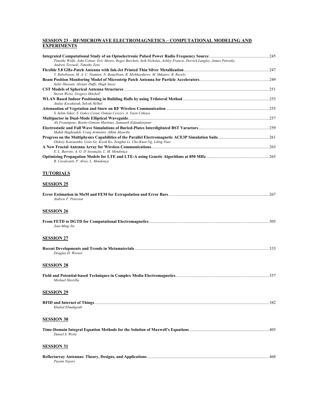# **SESSION 23 – RF/MICROWAVE ELECTROMAGNETICS – COMPUTATIONAL MODELING AND EXPERIMENTS**

| Timothy Wolfe, John Cetnar, Eric Moore, Roger Burchett, Seth Nickolas, Ashley Francis, Derrick Langley, James Petrosky,<br>Andrew Terzuoli, Timothy Zens |     |
|----------------------------------------------------------------------------------------------------------------------------------------------------------|-----|
|                                                                                                                                                          |     |
| Y. Rabobason, M. A. C. Niamien, N. Benjelloun, B. Mirkhaydarov, M. Shkunov, B. Ravelo                                                                    |     |
| Sabir Hussain, Alistair Duffy, Hugh Sasse                                                                                                                |     |
| Steven Weiss, Gregory Mitchell                                                                                                                           |     |
| Atalay Kocakusak, Selcuk Helhel                                                                                                                          |     |
| S. Selim Seker, S. Gokce Ceran, Osman Cerezci, A. Yasin Citkaya                                                                                          |     |
| Ali Frotanpour, Benito Gimeno Martinez, Samaneh Esfandiarpour                                                                                            |     |
| Mahdi Haghzadeh, Craig Armiento, Alkim Akyurtlu                                                                                                          |     |
| Oleksiy Kononenko, Lixin Ge, Kwok Ko, Zenghai Li, Cho-Kuen Ng, Liling Xiao                                                                               |     |
| E. L. Barreto, A. G. D'Assunção, L. M. Mendonça                                                                                                          |     |
| B. Cavalcanti, P. Alves, L. Mendonca                                                                                                                     |     |
| <b>TUTORIALS</b>                                                                                                                                         |     |
| <b>SESSION 25</b>                                                                                                                                        |     |
| Andrew F. Peterson                                                                                                                                       | 267 |

#### **SESSION 26**

|               | 305 |
|---------------|-----|
| Jian-Ming Jin |     |
|               |     |

#### **SESSION 27**

| Douglas H. Werner |  |
|-------------------|--|

#### **SESSION 28**

| Michael Havrilla  |     |
|-------------------|-----|
|                   |     |
| <b>SESSION 29</b> |     |
|                   | 382 |

# **SESSION 30**

*Khaled Elmahgoub* 

| Daniel S. Weile |  |
|-----------------|--|

# **SESSION 31**

|              | Reflectarray Antennas: Theory, Designs, and Applications. |  |
|--------------|-----------------------------------------------------------|--|
| Pavam Naveri |                                                           |  |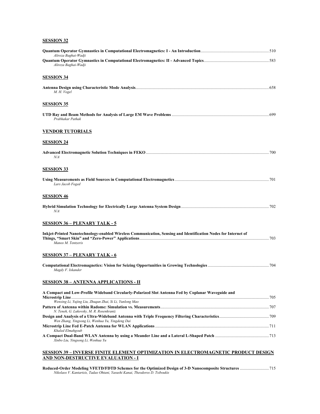# **SESSION 32**

| Alireza Baghai-Wadji<br>Alireza Baghai-Wadji                                                                                         |     |
|--------------------------------------------------------------------------------------------------------------------------------------|-----|
| <b>SESSION 34</b>                                                                                                                    |     |
| M. H. Vogel                                                                                                                          |     |
| <u>SESSION 35</u>                                                                                                                    |     |
| Prabhakar Pathak                                                                                                                     |     |
| <b>VENDOR TUTORIALS</b>                                                                                                              |     |
| <b>SESSION 24</b>                                                                                                                    |     |
| N/A                                                                                                                                  |     |
| <u>SESSION 33</u>                                                                                                                    |     |
| Lars Jacob Foged                                                                                                                     |     |
| <b>SESSION 46</b>                                                                                                                    |     |
| N/A                                                                                                                                  |     |
| <u>SESSION 36 – PLENARY TALK - 5</u>                                                                                                 |     |
| Inkjet-Printed Nanotechnology-enabled Wireless Communication, Sensing and Identification Nodes for Internet of<br>Manos M. Tentzeris |     |
| <b>SESSION 37 – PLENARY TALK - 6</b>                                                                                                 |     |
| Magdy F. Iskander                                                                                                                    |     |
| <u>SESSION 38 – ANTENNA APPLICATIONS - II</u>                                                                                        |     |
| A Compact and Low-Profile Wideband Circularly-Polarized Slot Antenna Fed by Coplanar Waveguide and                                   |     |
| Wenxing Li, Yujing Liu, Zhuqun Zhai, Si Li, Yunlong Mao                                                                              |     |
| N. Teneh, G. Lukovsky, M. R. Rosenkrantz                                                                                             |     |
|                                                                                                                                      |     |
| Wen Zhang, Yingsong Li, Wenhua Yu, Yingdeng Dai                                                                                      |     |
| Khaled Elmahgoub<br>Xinbo Liu, Yingsong Li, Wenhua Yu                                                                                |     |
| <u>SESSION 39 – INVERSE FINITE ELEMENT OPTIMIZATION IN ELECTROMAGNETIC PRODUCT DESIGN</u>                                            |     |
| AND NON-DESTRUCTIVE EVALUATION - I                                                                                                   |     |
| Deduced Order Modeling VEETDEDTD Sekomes for the Ontimized Decisy of 2. D. Nanoenmoeits Structures                                   | 715 |

**Reduced-Order Modeling VFETD/FDTD Schemes for the Optimized Design of 3-D Nanocomposite Structures** ............................715 *Nikolaos V. Kantartzis, Tadao Ohtani, Yasushi Kanai, Theodoros D. Tsiboukis*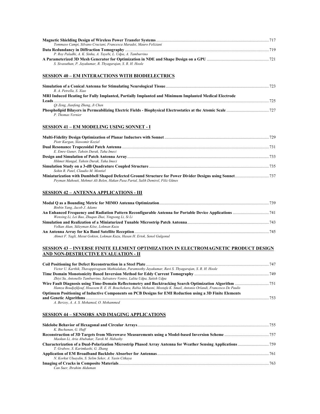| Tommaso Campi, Silvano Cruciani, Francesca Maradei, Mauro Feliziani                                  |                 |
|------------------------------------------------------------------------------------------------------|-----------------|
|                                                                                                      |                 |
| P. Roy Paladhi, A. K. Sinha, A. Tayebi, L. Udpa, A. Tamburrino                                       |                 |
|                                                                                                      |                 |
| S. Sivasuthan, P. Jayakumar, R. Thyagarajan, S. R. H. Hoole                                          |                 |
| <b>SESSION 40 - EM INTERACTIONS WITH BIODIELECTRICS</b>                                              |                 |
| R. A. Petrella, S. Xiao                                                                              |                 |
| MRI Induced Heating for Fully Implanted, Partially Implanted and Minimum Implanted Medical Electrode |                 |
| Leads $\frac{725}{2}$                                                                                |                 |
| Oi Zeng, Jianfeng Zheng, Ji Chen                                                                     |                 |
| P. Thomas Vernier                                                                                    |                 |
| <b>SESSION 41 - EM MODELING USING SONNET - I</b>                                                     |                 |
| Piotr Kurgan, Slawomir Koziel                                                                        |                 |
| E. Emre Guner. Tahsin Durak. Taha Imeci                                                              |                 |
| Hikmet Mangal, Tahsin Durak, Taha Imeci                                                              |                 |
| Sohin R. Patel. Claudio M. Montiel                                                                   |                 |
| Peyman Mahouti, Mehmet Ali Belen, Hakan Pasa Partal, Salih Demirel, Filiz Günes                      |                 |
| <b>SESSION 42 - ANTENNA APPLICATIONS - III</b>                                                       |                 |
|                                                                                                      |                 |
| Binbin Yang, Jacob J. Adams                                                                          |                 |
| Wenxing Li, Lei Bao, Zhuqun Zhai, Yingsong Li, Si Li                                                 |                 |
|                                                                                                      |                 |
| Volkan Akan, Süleyman Köse, Lokman Kuzu                                                              |                 |
| $\mathbf{r}$ are not in the $\mathbf{r}$                                                             | $\sim$ 4 $\sim$ |

#### **An Antenna Array for Ku Band Satellite Reception**..................................................................................................................................745 *Ahmet F. Yagli, Mesut Gokten, Lokman Kuzu, Hasan H. Ertok, Senol Gulgonul*

#### **SESSION 43 – INVERSE FINITE ELEMENT OPTIMIZATION IN ELECTROMAGNETIC PRODUCT DESIGN AND NON-DESTRUCTIVE EVALUATION - II**

| Victor U. Karthik, Thavappiragsam Mathialakan, Paramsothy Jayakumar, Ravi S. Thyagarajan, S. R. H. Hoole               |  |
|------------------------------------------------------------------------------------------------------------------------|--|
|                                                                                                                        |  |
| Zhivi Su, Antonello Tamburrino, Salvatore Ventre, Lalita Udpa, Satish Udpa                                             |  |
|                                                                                                                        |  |
| Hamza Boudjefdjouf, Houssem R. E. H. Bouchekara, Rabia Mehasni, Mostafa K. Smail, Antonio Orlandi, Francesco De Paulis |  |
| Optimum Positioning of Inductive Components on PCB Designs for EMI Reduction using a 3D Finite Elements                |  |
|                                                                                                                        |  |
| A. Berzov. A. A. S. Mohamed. O. Mohammed                                                                               |  |

# **SESSION 44 – SENSORS AND IMAGING APPLICATIONS**

| K. Buchanan, G. Huff                                 |  |
|------------------------------------------------------|--|
|                                                      |  |
| Maokun Li, Aria Abubakar, Tarek M. Habashy           |  |
|                                                      |  |
| T. Grabow, S. Karimkashi, G. Zhang                   |  |
|                                                      |  |
| N. Korkut Uluaydin, S. Selim Seker, A. Yasin Citkaya |  |
|                                                      |  |
| Can Suer, Ibrahim Akduman                            |  |